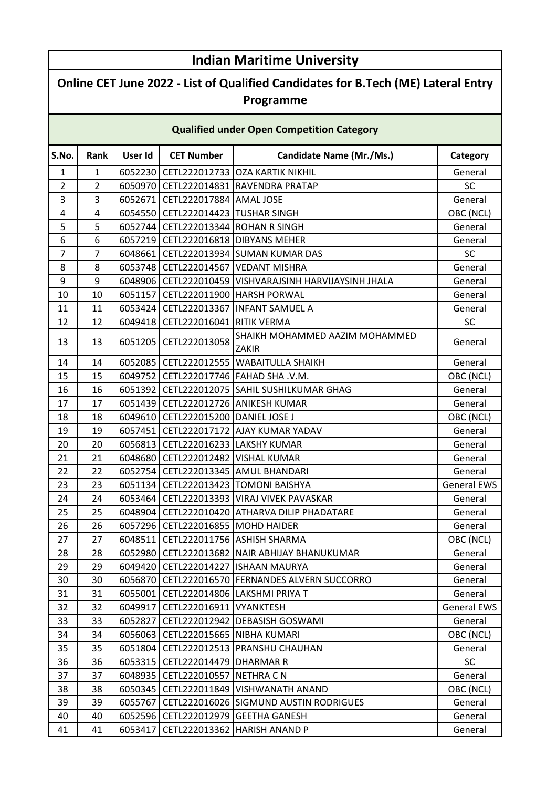## **S.No. Rank User Id CET Number Candidate Name (Mr./Ms.) Category** 1 1 6052230 CETL222012733 OZA KARTIK NIKHIL General 2 2 6050970 CETL222014831 RAVENDRA PRATAP SC 3 3 6052671 CETL222017884 AMAL JOSE General 4 | 4 | 6054550 CETL222014423 | TUSHAR SINGH | CHENGER OBC (NCL) 5 | 5 | 6052744 CETL222013344 ROHAN R SINGH GENERAL General 6 6 6057219 CETL222016818 DIBYANS MEHER General 7 | 7 | 6048661 CETL222013934 SUMAN KUMAR DAS | SC 8 | 8 | 6053748 CETL222014567 VEDANT MISHRA GENERAL General 9 9 6048906 CETL222010459 VISHVARAJSINH HARVIJAYSINH JHALA General 10 | 10 | 6051157 CETL222011900 | HARSH PORWAL | General 11 | 11 | 6053424 CETL222013367 INFANT SAMUEL A General 12 | 12 | 6049418 CETL222016041 RITIK VERMA SC 13 | 13 | 6051205 | CETL222013058 SHAIKH MOHAMMED AAZIM MOHAMMED ZAKIR General 14 | 14 | 6052085 | CETL222012555 | WABAITULLA SHAIKH | General 15 15 6049752 CETL222017746 FAHAD SHA .V.M. OBC (NCL) 16 | 16 | 6051392 CETL222012075 SAHIL SUSHILKUMAR GHAG GENERAL General 17 | 17 | 6051439 CETL222012726 ANIKESH KUMAR | General 18 | 18 | 6049610 CETL222015200 DANIEL JOSE J | OBC (NCL) 19 | 19 | 6057451 CETL222017172 AJAY KUMAR YADAV General 20 | 20 | 6056813 | CETL222016233 | LAKSHY KUMAR GENERAL GENERAL GEneral 21 | 21 | 6048680 CETL222012482 VISHAL KUMAR GENERAL General 22 | 22 | 6052754 CETL222013345 AMUL BHANDARI GENERAL General 23 | 23 | 6051134 | CETL222013423 | TOMONI BAISHYA GENERAL GENERAL EWS 24 **6053464 CETL222013393 VIRAJ VIVEK PAVASKAR** General General 25 | 25 | 6048904 | CETL222010420 | ATHARVA DILIP PHADATARE | General 26 | 26 | 6057296 CETL222016855 | MOHD HAIDER GENERAL General 27 27 6048511 CETL222011756 ASHISH SHARMA OBC (NCL) 28 | 28 | 6052980 CETL222013682 NAIR ABHIJAY BHANUKUMAR | General 29 | 29 | 6049420 CETL222014227 ISHAAN MAURYA | General 30 | 30 | 6056870 CETL222016570 FERNANDES ALVERN SUCCORRO | General 31 31 6055001 CETL222014806 LAKSHMI PRIYA T General 32 | 32 | 6049917 CETL222016911 VYANKTESH General EWS 33 | 33 | 6052827 CETL222012942 DEBASISH GOSWAMI | General 34 34 6056063 CETL222015665 NIBHA KUMARI OBC (NCL) 35 | 35 | 6051804 | CETL222012513 | PRANSHU CHAUHAN GENERAL GENERAL GENERAL 36 36 6053315 CETL222014479 DHARMAR R SC 37 | 37 | 6048935 | CETL222010557 | NETHRA C N General 38 | 38 | 6050345 CETL222011849 VISHWANATH ANAND | OBC (NCL) 39 | 39 | 6055767 CETL222016026 SIGMUND AUSTIN RODRIGUES | General 40 40 6052596 CETL222012979 GEETHA GANESH General 41 41 6053417 CETL222013362 HARISH ANAND P General **Indian Maritime University Online CET June 2022 - List of Qualified Candidates for B.Tech (ME) Lateral Entry Programme Qualified under Open Competition Category**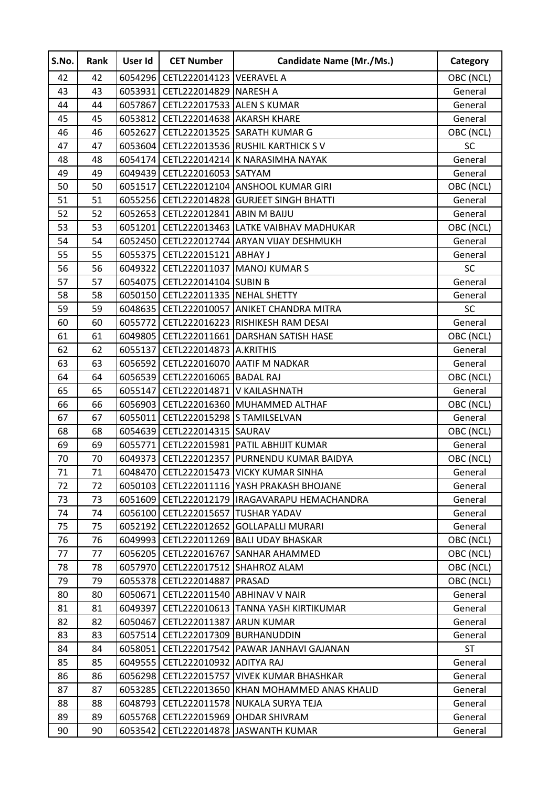| S.No. | Rank | User Id | <b>CET Number</b>                      | <b>Candidate Name (Mr./Ms.)</b>                | Category  |
|-------|------|---------|----------------------------------------|------------------------------------------------|-----------|
| 42    | 42   |         | 6054296 CETL222014123 VEERAVEL A       |                                                | OBC (NCL) |
| 43    | 43   |         | 6053931 CETL222014829 NARESH A         |                                                | General   |
| 44    | 44   |         | 6057867 CETL222017533 ALEN S KUMAR     |                                                | General   |
| 45    | 45   | 6053812 | CETL222014638 AKARSH KHARE             |                                                | General   |
| 46    | 46   | 6052627 |                                        | CETL222013525 SARATH KUMAR G                   | OBC (NCL) |
| 47    | 47   |         |                                        | 6053604   CETL222013536   RUSHIL KARTHICK S V  | <b>SC</b> |
| 48    | 48   |         |                                        | 6054174 CETL222014214 K NARASIMHA NAYAK        | General   |
| 49    | 49   |         | 6049439 CETL222016053 SATYAM           |                                                | General   |
| 50    | 50   | 6051517 |                                        | CETL222012104 ANSHOOL KUMAR GIRI               | OBC (NCL) |
| 51    | 51   |         |                                        | 6055256 CETL222014828 GURJEET SINGH BHATTI     | General   |
| 52    | 52   |         | 6052653   CETL222012841   ABIN M BAIJU |                                                | General   |
| 53    | 53   |         |                                        | 6051201 CETL222013463 LATKE VAIBHAV MADHUKAR   | OBC (NCL) |
| 54    | 54   |         |                                        | 6052450 CETL222012744 ARYAN VIJAY DESHMUKH     | General   |
| 55    | 55   |         | 6055375 CETL222015121 ABHAY J          |                                                | General   |
| 56    | 56   |         |                                        | 6049322 CETL222011037 MANOJ KUMAR S            | SC        |
| 57    | 57   |         | 6054075 CETL222014104 SUBIN B          |                                                | General   |
| 58    | 58   |         | 6050150 CETL222011335 NEHAL SHETTY     |                                                | General   |
| 59    | 59   |         |                                        | 6048635   CETL222010057 ANIKET CHANDRA MITRA   | SC        |
| 60    | 60   |         |                                        | 6055772   CETL222016223   RISHIKESH RAM DESAI  | General   |
| 61    | 61   |         |                                        | 6049805   CETL222011661   DARSHAN SATISH HASE  | OBC (NCL) |
| 62    | 62   |         | 6055137 CETL222014873 A.KRITHIS        |                                                | General   |
| 63    | 63   |         |                                        | 6056592 CETL222016070 AATIF M NADKAR           | General   |
| 64    | 64   | 6056539 | CETL222016065 BADAL RAJ                |                                                | OBC (NCL) |
| 65    | 65   | 6055147 | CETL222014871 V KAILASHNATH            |                                                | General   |
| 66    | 66   |         |                                        | 6056903   CETL222016360 MUHAMMED ALTHAF        | OBC (NCL) |
| 67    | 67   |         | 6055011 CETL222015298 S TAMILSELVAN    |                                                | General   |
| 68    | 68   |         | 6054639 CETL222014315 SAURAV           |                                                | OBC (NCL) |
| 69    | 69   | 6055771 |                                        | CETL222015981 PATIL ABHIJIT KUMAR              | General   |
| 70    | 70   |         |                                        | 6049373 CETL222012357 PURNENDU KUMAR BAIDYA    | OBC (NCL) |
| 71    | 71   |         |                                        | 6048470 CETL222015473 VICKY KUMAR SINHA        | General   |
| 72    | 72   |         |                                        | 6050103   CETL222011116   YASH PRAKASH BHOJANE | General   |
| 73    | 73   |         |                                        | 6051609 CETL222012179 IRAGAVARAPU HEMACHANDRA  | General   |
| 74    | 74   |         | 6056100 CETL222015657 TUSHAR YADAV     |                                                | General   |
| 75    | 75   |         |                                        | 6052192 CETL222012652 GOLLAPALLI MURARI        | General   |
| 76    | 76   | 6049993 |                                        | CETL222011269 BALI UDAY BHASKAR                | OBC (NCL) |
| 77    | 77   | 6056205 |                                        | CETL222016767 SANHAR AHAMMED                   | OBC (NCL) |
| 78    | 78   | 6057970 | CETL222017512 SHAHROZ ALAM             |                                                | OBC (NCL) |
| 79    | 79   |         | 6055378 CETL222014887 PRASAD           |                                                | OBC (NCL) |
| 80    | 80   |         | 6050671 CETL222011540 ABHINAV V NAIR   |                                                | General   |
| 81    | 81   | 6049397 |                                        | CETL222010613 TANNA YASH KIRTIKUMAR            | General   |
| 82    | 82   | 6050467 | CETL222011387 ARUN KUMAR               |                                                | General   |
| 83    | 83   | 6057514 | CETL222017309 BURHANUDDIN              |                                                | General   |
| 84    | 84   | 6058051 |                                        | CETL222017542 PAWAR JANHAVI GAJANAN            | <b>ST</b> |
| 85    | 85   |         | 6049555   CETL222010932   ADITYA RAJ   |                                                | General   |
| 86    | 86   | 6056298 | CETL222015757                          | <b>VIVEK KUMAR BHASHKAR</b>                    | General   |
| 87    | 87   | 6053285 |                                        | CETL222013650 KHAN MOHAMMED ANAS KHALID        | General   |
| 88    | 88   | 6048793 |                                        | CETL222011578 NUKALA SURYA TEJA                | General   |
| 89    | 89   | 6055768 | CETL222015969                          | <b>OHDAR SHIVRAM</b>                           | General   |
| 90    | 90   | 6053542 | CETL222014878                          | <b>JASWANTH KUMAR</b>                          | General   |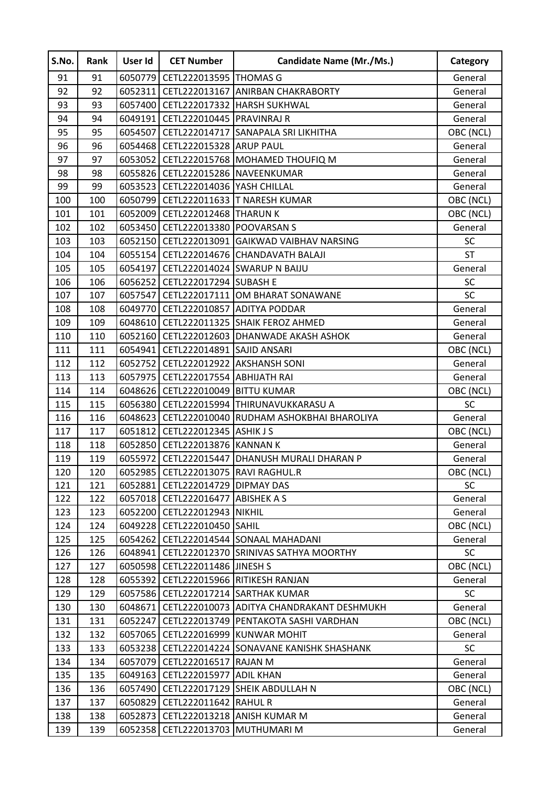| S.No. | Rank | User Id | <b>CET Number</b>                       | <b>Candidate Name (Mr./Ms.)</b>                     | Category  |
|-------|------|---------|-----------------------------------------|-----------------------------------------------------|-----------|
| 91    | 91   |         | 6050779 CETL222013595 THOMAS G          |                                                     | General   |
| 92    | 92   | 6052311 |                                         | CETL222013167 ANIRBAN CHAKRABORTY                   | General   |
| 93    | 93   |         |                                         | 6057400 CETL222017332 HARSH SUKHWAL                 | General   |
| 94    | 94   | 6049191 | CETL222010445 PRAVINRAJ R               |                                                     | General   |
| 95    | 95   | 6054507 | CETL222014717                           | SANAPALA SRI LIKHITHA                               | OBC (NCL) |
| 96    | 96   |         | 6054468 CETL222015328 ARUP PAUL         |                                                     | General   |
| 97    | 97   |         |                                         | 6053052 CETL222015768 MOHAMED THOUFIQ M             | General   |
| 98    | 98   |         | 6055826 CETL222015286 NAVEENKUMAR       |                                                     | General   |
| 99    | 99   |         | 6053523 CETL222014036 YASH CHILLAL      |                                                     | General   |
| 100   | 100  |         |                                         | 6050799 CETL222011633 T NARESH KUMAR                | OBC (NCL) |
| 101   | 101  |         | 6052009   CETL222012468   THARUN K      |                                                     | OBC (NCL) |
| 102   | 102  |         | 6053450 CETL222013380 POOVARSAN S       |                                                     | General   |
| 103   | 103  |         |                                         | 6052150 CETL222013091 GAIKWAD VAIBHAV NARSING       | SC        |
| 104   | 104  |         |                                         | 6055154 CETL222014676 CHANDAVATH BALAJI             | <b>ST</b> |
| 105   | 105  |         |                                         | 6054197 CETL222014024 SWARUP N BAIJU                | General   |
| 106   | 106  | 6056252 | CETL222017294 SUBASH E                  |                                                     | SC        |
| 107   | 107  | 6057547 |                                         | CETL222017111 OM BHARAT SONAWANE                    | SC        |
| 108   | 108  |         | 6049770 CETL222010857 ADITYA PODDAR     |                                                     | General   |
| 109   | 109  |         |                                         | 6048610 CETL222011325 SHAIK FEROZ AHMED             | General   |
| 110   | 110  |         |                                         | 6052160 CETL222012603 DHANWADE AKASH ASHOK          | General   |
| 111   | 111  |         | 6054941   CETL222014891   SAJID ANSARI  |                                                     | OBC (NCL) |
| 112   | 112  |         | 6052752 CETL222012922 AKSHANSH SONI     |                                                     | General   |
| 113   | 113  | 6057975 | CETL222017554 ABHIJATH RAI              |                                                     | General   |
| 114   | 114  |         | 6048626 CETL222010049 BITTU KUMAR       |                                                     | OBC (NCL) |
| 115   | 115  |         |                                         | 6056380 CETL222015994 THIRUNAVUKKARASU A            | <b>SC</b> |
| 116   | 116  |         |                                         | 6048623 CETL222010040 RUDHAM ASHOKBHAI BHAROLIYA    | General   |
| 117   | 117  |         | 6051812 CETL222012345 ASHIK JS          |                                                     | OBC (NCL) |
| 118   | 118  |         | 6052850 CETL222013876 KANNAN K          |                                                     | General   |
| 119   | 119  | 6055972 |                                         | CETL222015447 DHANUSH MURALI DHARAN P               | General   |
| 120   | 120  |         | 6052985   CETL222013075   RAVI RAGHUL.R |                                                     | OBC (NCL) |
| 121   | 121  |         | 6052881 CETL222014729 DIPMAY DAS        |                                                     | <b>SC</b> |
| 122   | 122  |         | 6057018   CETL222016477   ABISHEK A S   |                                                     | General   |
| 123   | 123  |         | 6052200 CETL222012943 NIKHIL            |                                                     | General   |
| 124   | 124  |         | 6049228 CETL222010450 SAHIL             |                                                     | OBC (NCL) |
| 125   | 125  |         |                                         | 6054262 CETL222014544 SONAAL MAHADANI               | General   |
| 126   | 126  | 6048941 |                                         | CETL222012370 SRINIVAS SATHYA MOORTHY               | <b>SC</b> |
| 127   | 127  |         | 6050598 CETL222011486 JINESH S          |                                                     | OBC (NCL) |
| 128   | 128  |         |                                         | 6055392   CETL222015966   RITIKESH RANJAN           | General   |
| 129   | 129  |         |                                         | 6057586   CETL222017214   SARTHAK KUMAR             | <b>SC</b> |
| 130   | 130  | 6048671 |                                         | CETL222010073 ADITYA CHANDRAKANT DESHMUKH           | General   |
| 131   | 131  | 6052247 |                                         | CETL222013749   PENTAKOTA SASHI VARDHAN             | OBC (NCL) |
| 132   | 132  |         |                                         | 6057065   CETL222016999 KUNWAR MOHIT                | General   |
| 133   | 133  |         |                                         | 6053238   CETL222014224   SONAVANE KANISHK SHASHANK | <b>SC</b> |
| 134   | 134  |         | 6057079 CETL222016517 RAJAN M           |                                                     | General   |
| 135   | 135  | 6049163 | CETL222015977                           | <b>ADIL KHAN</b>                                    | General   |
| 136   | 136  |         |                                         | 6057490 CETL222017129 SHEIK ABDULLAH N              | OBC (NCL) |
| 137   | 137  | 6050829 | <b>CETL222011642 RAHUL R</b>            |                                                     | General   |
| 138   | 138  |         |                                         | 6052873   CETL222013218   ANISH KUMAR M             | General   |
| 139   | 139  |         | 6052358   CETL222013703   MUTHUMARI M   |                                                     | General   |